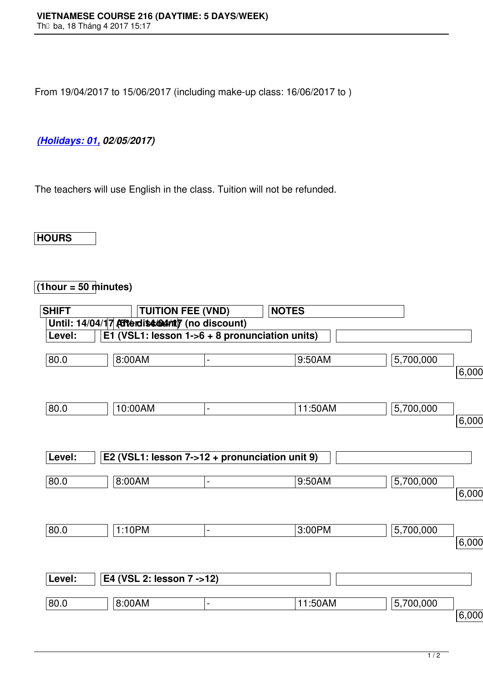From 19/04/2017 to 15/06/2017 (including make-up class: 16/06/2017 to )

## *(Holidays: 01, 02/05/2017)*

[The teachers w](http://www.vns.edu.vn/)ill use English in the class. Tuition will not be refunded.

## **HOURS**

## **(1hour = 50 minutes)**

| <b>SHIFT</b> |                                                  | <b>TUITION FEE (VND)</b>                       | <b>NOTES</b> |           |          |
|--------------|--------------------------------------------------|------------------------------------------------|--------------|-----------|----------|
|              | Until: 14/04/17 Atterdise 604/ntly (no discount) |                                                |              |           |          |
| Level:       |                                                  | E1 (VSL1: lesson 1->6 + 8 pronunciation units) |              |           |          |
| 80.0         | 8:00AM                                           | $\blacksquare$                                 | 9:50AM       | 5,700,000 | 6,000,00 |
| 80.0         | 10:00AM                                          | $\blacksquare$                                 | 11:50AM      | 5,700,000 |          |
| Level:       |                                                  | E2 (VSL1: lesson 7->12 + pronunciation unit 9) |              |           | 6,000,00 |
|              |                                                  |                                                |              |           |          |
| 80.0         | $8:00A\overline{M}$                              | $\overline{\phantom{a}}$                       | 9:50AM       | 5,700,000 |          |
|              |                                                  |                                                |              |           | 6,000,00 |
| 80.0         | 1:10PM                                           | $\blacksquare$                                 | 3:00PM       | 5,700,000 | 6,000,00 |
|              |                                                  |                                                |              |           |          |
| Level:       | E4 (VSL 2: lesson 7 ->12)                        |                                                |              |           |          |
| 80.0         | 8:00AM                                           | $\blacksquare$                                 | 11:50AM      | 5,700,000 |          |
|              |                                                  |                                                |              |           | 6,000,00 |